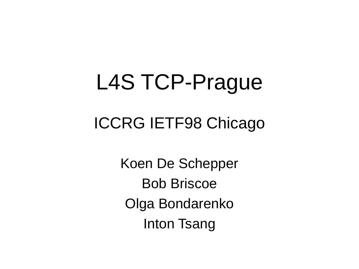## L4S TCP-Prague

#### ICCRG IETF98 Chicago

Koen De Schepper Bob Briscoe Olga Bondarenko Inton Tsang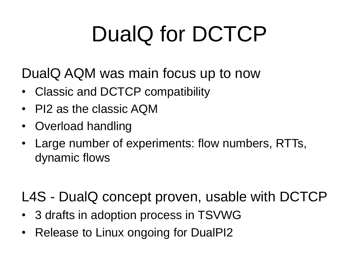# DualQ for DCTCP

DualQ AQM was main focus up to now

- Classic and DCTCP compatibility
- PI2 as the classic AQM
- Overload handling
- Large number of experiments: flow numbers, RTTs, dynamic flows

L4S - DualQ concept proven, usable with DCTCP

- 3 drafts in adoption process in TSVWG
- Release to Linux ongoing for DualPI2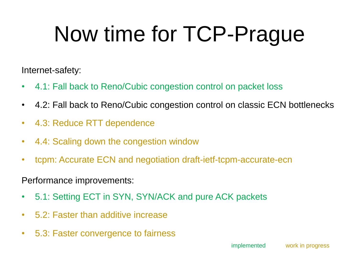# Now time for TCP-Prague

Internet-safety:

- 4.1: Fall back to Reno/Cubic congestion control on packet loss
- 4.2: Fall back to Reno/Cubic congestion control on classic ECN bottlenecks
- 4.3: Reduce RTT dependence
- 4.4: Scaling down the congestion window
- tcpm: Accurate ECN and negotiation draft-ietf-tcpm-accurate-ecn

Performance improvements:

- 5.1: Setting ECT in SYN, SYN/ACK and pure ACK packets
- 5.2: Faster than additive increase
- 5.3: Faster convergence to fairness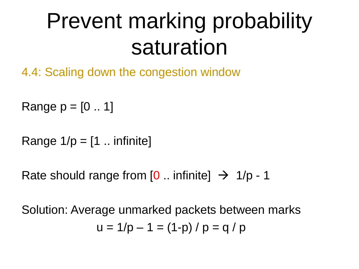## Prevent marking probability saturation

4.4: Scaling down the congestion window

Range  $p = [0.. 1]$ 

Range  $1/p = [1 \dots$  infinite]

Rate should range from  $[0 \dots$  infinite  $] \rightarrow 1/p - 1$ 

Solution: Average unmarked packets between marks  $u = 1/p - 1 = (1-p)/p = q/p$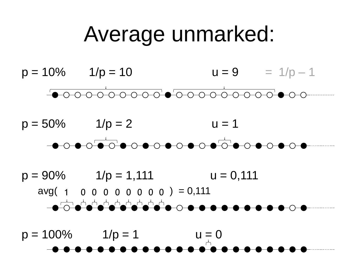#### Average unmarked:





 $p = 90\%$  1/ $p = 1,111$  u = 0,111  $avg( 1 0 0 0 0 0 0 0 0 ) = 0,111$ 

 $p = 100\%$   $1/p = 1$   $u = 0$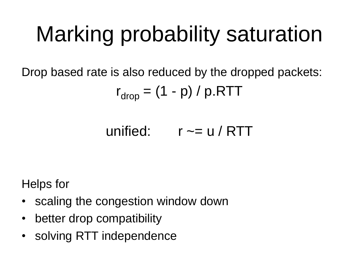## Marking probability saturation

Drop based rate is also reduced by the dropped packets:

$$
r_{drop} = (1 - p) / p.RTT
$$

$$
unified: \qquad r \sim = u / RTT
$$

Helps for

- scaling the congestion window down
- better drop compatibility
- solving RTT independence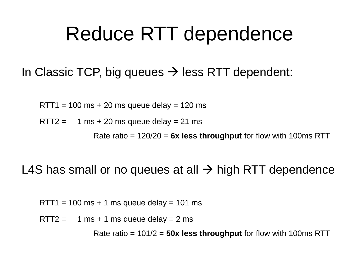#### Reduce RTT dependence

In Classic TCP, big queues  $\rightarrow$  less RTT dependent:

 $RTT1 = 100$  ms  $+ 20$  ms queue delay  $= 120$  ms

RTT2 =  $1 \text{ ms} + 20 \text{ ms}$  queue delay = 21 ms

Rate ratio = 120/20 = **6x less throughput** for flow with 100ms RTT

L4S has small or no queues at all  $\rightarrow$  high RTT dependence

 $RTT1 = 100$  ms + 1 ms queue delay = 101 ms

RTT2 = 1 ms + 1 ms queue delay = 2 ms

Rate ratio = 101/2 = **50x less throughput** for flow with 100ms RTT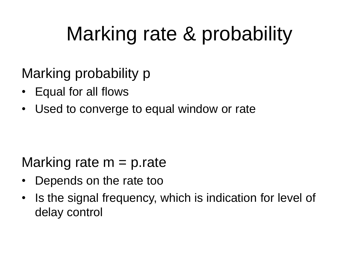## Marking rate & probability

Marking probability p

- Equal for all flows
- Used to converge to equal window or rate

#### Marking rate  $m = p$  rate

- Depends on the rate too
- Is the signal frequency, which is indication for level of delay control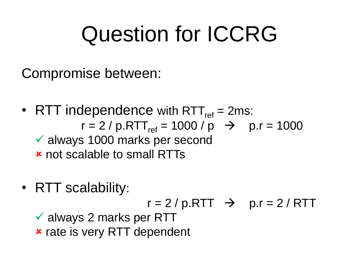## Question for ICCRG

Compromise between:

- RTT independence with RTT $_{ref}$  = 2ms:  $r = 2 / p.RTT_{ref} = 1000 / p \rightarrow p.r = 1000$  always 1000 marks per second not scalable to small RTTs
- RTT scalability:

$$
r = 2 / p.RTT
$$
  $\rightarrow$   $p.r = 2 / RTT$ 

 $\checkmark$  always 2 marks per RTT **x** rate is very RTT dependent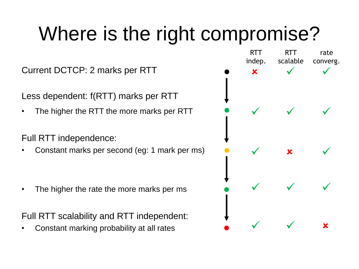## Where is the right compromise?

Current DCTCP: 2 marks per RTT

Less dependent: f(RTT) marks per RTT

• The higher the RTT the more marks per RTT

Full RTT independence:

• Constant marks per second (eg: 1 mark per ms)

• The higher the rate the more marks per ms

Full RTT scalability and RTT independent:

• Constant marking probability at all rates

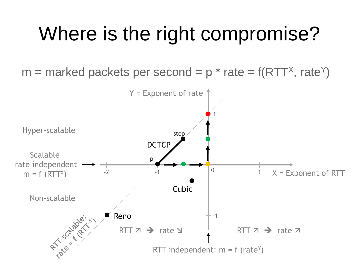### Where is the right compromise?

 $m =$  marked packets per second = p  $*$  rate = f(RTT<sup>x</sup>, rate<sup>Y</sup>)

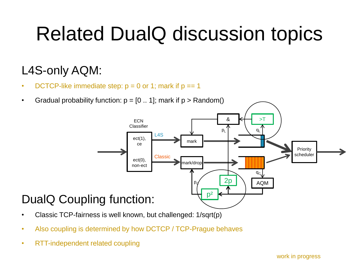### Related DualQ discussion topics

#### L4S-only AQM:

- DCTCP-like immediate step:  $p = 0$  or 1; mark if  $p == 1$
- Gradual probability function:  $p = [0..1]$ ; mark if  $p >$  Random()



- Classic TCP-fairness is well known, but challenged: 1/sqrt(p)
- Also coupling is determined by how DCTCP / TCP-Prague behaves
- RTT-independent related coupling